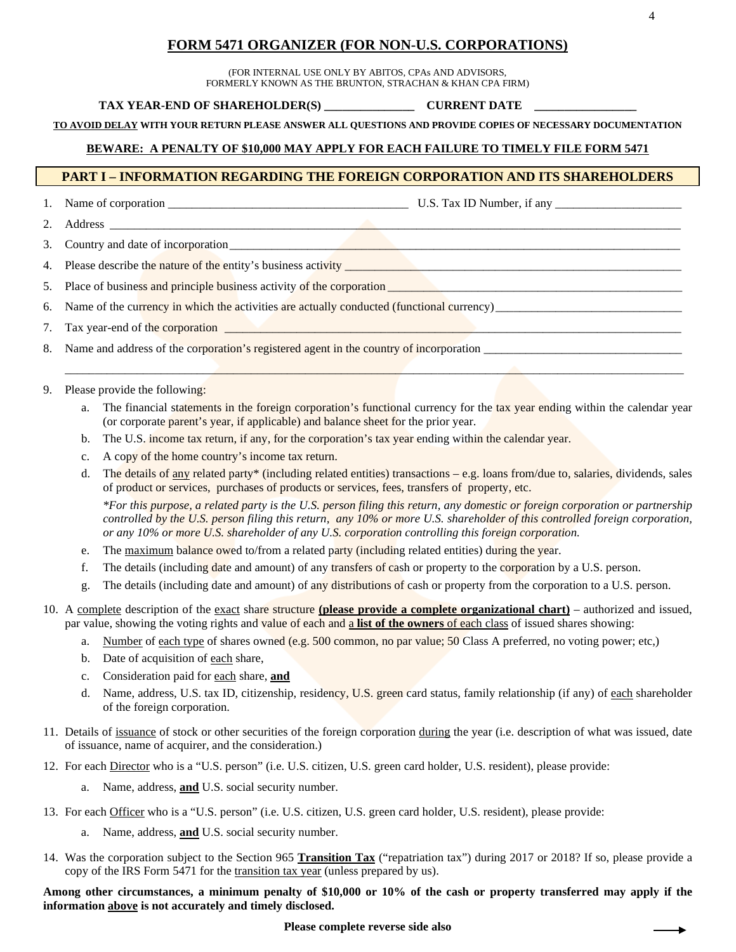# **FORM 5471 ORGANIZER (FOR NON-U.S. CORPORATIONS)**

(FOR INTERNAL USE ONLY BY ABITOS, CPAs AND ADVISORS, FORMERLY KNOWN AS THE BRUNTON, STRACHAN & KHAN CPA FIRM)

#### **TAX YEAR-END OF SHAREHOLDER(S) \_\_\_\_\_\_\_\_\_\_\_\_\_\_\_ CURRENT DATE \_\_\_\_\_\_\_\_\_\_\_\_\_\_\_\_\_**

**TO AVOID DELAY WITH YOUR RETURN PLEASE ANSWER ALL QUESTIONS AND PROVIDE COPIES OF NECESSARY DOCUMENTATION**

### **BEWARE: A PENALTY OF \$10,000 MAY APPLY FOR EACH FAILURE TO TIMELY FILE FORM 5471**

### **PART I – INFORMATION REGARDING THE FOREIGN CORPORATION AND ITS SHAREHOLDERS**

1. Name of corporation \_\_\_\_\_\_\_\_\_\_\_\_\_\_\_\_\_\_\_\_\_\_\_\_\_\_\_\_\_\_\_\_\_\_\_\_\_\_\_\_ U.S. Tax ID Number, if any \_\_\_\_\_\_\_\_\_\_\_\_\_\_\_\_\_\_\_\_\_

- 2. Address \_\_\_\_\_\_\_\_\_\_\_\_\_\_\_\_\_\_\_\_\_\_\_\_\_\_\_\_\_\_\_\_\_\_\_\_\_\_\_\_\_\_\_\_\_\_\_\_\_\_\_\_\_\_\_\_\_\_\_\_\_\_\_\_\_\_\_\_\_\_\_\_\_\_\_\_\_\_\_\_\_\_\_\_\_\_\_\_\_\_\_\_\_\_\_
- 3. Country and date of incorporation
- 4. Please describe the nature of the entity's business activity \_\_\_\_\_\_\_\_\_\_\_\_\_\_\_\_\_
- 5. Place of business and principle business activity of the corporation
- 6. Name of the currency in which the activities are actually conducted (functional currency)
- 7. Tax year-end of the corporation
- 8. Name and address of the corporation's registered agent in the country of incorporation \_\_\_\_\_\_\_\_\_\_\_\_\_\_\_\_\_\_\_\_\_\_\_\_\_\_\_\_\_\_\_\_\_
- 9. Please provide the following:
	- a. The financial statements in the foreign corporation's functional currency for the tax year ending within the calendar year (or corporate parent's year, if applicable) and balance sheet for the prior year.

 $\mathcal{L}$  , and the set of the set of the set of the set of the set of the set of the set of the set of the set of the set of the set of the set of the set of the set of the set of the set of the set of the set of the set

- b. The U.S. income tax return, if any, for the corporation's tax year ending within the calendar year.
- c. A copy of the home country's income tax return.
- d. The details of any related party\* (including related entities) transactions e.g. loans from/due to, salaries, dividends, sales of product or services, purchases of products or services, fees, transfers of property, etc.

*\*For this purpose, a related party is the U.S. person filing this return, any domestic or foreign corporation or partnership controlled by the U.S. person filing this return, any 10% or more U.S. shareholder of this controlled foreign corporation, or any 10% or more U.S. shareholder of any U.S. corporation controlling this foreign corporation.*

- e. The maximum balance owed to/from a related party (including related entities) during the year.
- f. The details (including date and amount) of any transfers of cash or property to the corporation by a U.S. person.
- g. The details (including date and amount) of any distributions of cash or property from the corporation to a U.S. person.
- 10. A complete description of the exact share structure **(please provide a complete organizational chart)** authorized and issued, par value, showing the voting rights and value of each and a **list of the owners** of each class of issued shares showing:
	- a. Number of each type of shares owned (e.g. 500 common, no par value; 50 Class A preferred, no voting power; etc,)
	- b. Date of acquisition of each share,
	- c. Consideration paid for each share, **and**
	- d. Name, address, U.S. tax ID, citizenship, residency, U.S. green card status, family relationship (if any) of each shareholder of the foreign corporation.
- 11. Details of issuance of stock or other securities of the foreign corporation during the year (i.e. description of what was issued, date of issuance, name of acquirer, and the consideration.)
- 12. For each Director who is a "U.S. person" (i.e. U.S. citizen, U.S. green card holder, U.S. resident), please provide:
	- a. Name, address, **and** U.S. social security number.
- 13. For each Officer who is a "U.S. person" (i.e. U.S. citizen, U.S. green card holder, U.S. resident), please provide:
	- a. Name, address, **and** U.S. social security number.
- 14. Was the corporation subject to the Section 965 **Transition Tax** ("repatriation tax") during 2017 or 2018? If so, please provide a copy of the IRS Form 5471 for the transition tax year (unless prepared by us).

**Among other circumstances, a minimum penalty of \$10,000 or 10% of the cash or property transferred may apply if the information above is not accurately and timely disclosed.**